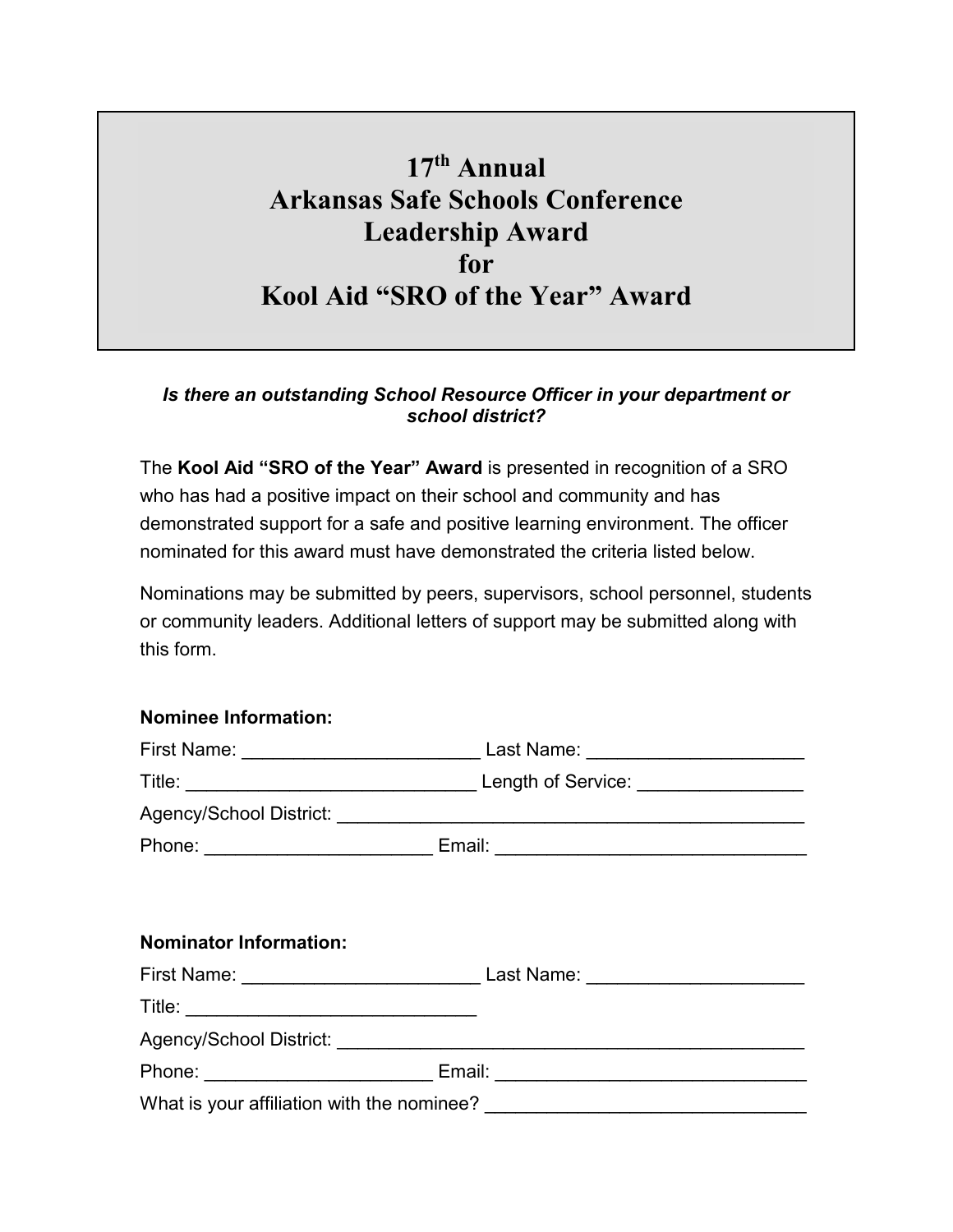## **17th Annual Arkansas Safe Schools Conference Leadership Award for Kool Aid "SRO of the Year" Award**

## *Is there an outstanding School Resource Officer in your department or school district?*

The **Kool Aid "SRO of the Year" Award** is presented in recognition of a SRO who has had a positive impact on their school and community and has demonstrated support for a safe and positive learning environment. The officer nominated for this award must have demonstrated the criteria listed below.

Nominations may be submitted by peers, supervisors, school personnel, students or community leaders. Additional letters of support may be submitted along with this form.

## **Nominee Information:**

|                               | Phone: ________________________________Email: __________________________________ |
|-------------------------------|----------------------------------------------------------------------------------|
|                               |                                                                                  |
| <b>Nominator Information:</b> |                                                                                  |
|                               |                                                                                  |
|                               |                                                                                  |
|                               |                                                                                  |
|                               | Phone: ________________________________ Email: _________________________________ |
|                               |                                                                                  |